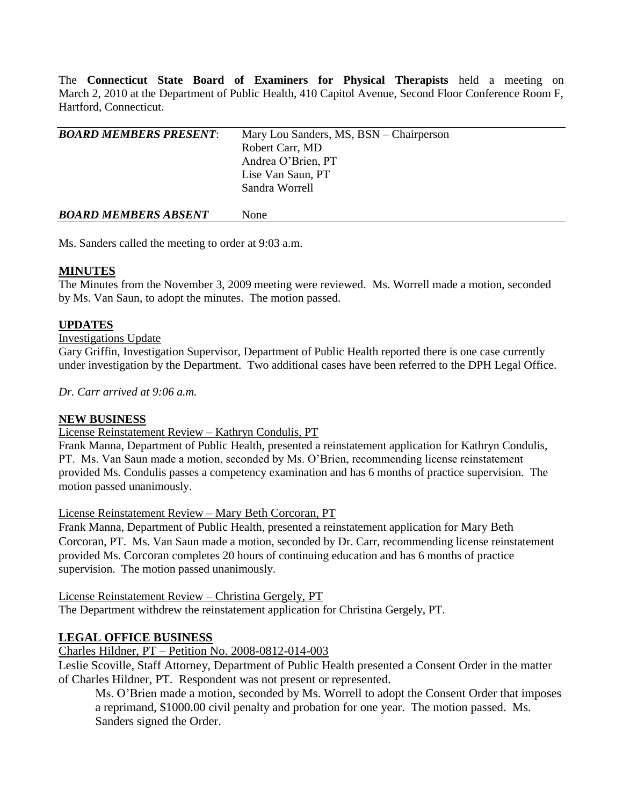The **Connecticut State Board of Examiners for Physical Therapists** held a meeting on March 2, 2010 at the Department of Public Health, 410 Capitol Avenue, Second Floor Conference Room F, Hartford, Connecticut.

| <b>BOARD MEMBERS PRESENT:</b> | Mary Lou Sanders, MS, BSN - Chairperson |
|-------------------------------|-----------------------------------------|
|                               | Robert Carr, MD                         |
|                               | Andrea O'Brien, PT                      |
|                               | Lise Van Saun, PT                       |
|                               | Sandra Worrell                          |
| <b>BOARD MEMBERS ABSENT</b>   | None                                    |

Ms. Sanders called the meeting to order at 9:03 a.m.

# **MINUTES**

The Minutes from the November 3, 2009 meeting were reviewed. Ms. Worrell made a motion, seconded by Ms. Van Saun, to adopt the minutes. The motion passed.

# **UPDATES**

## Investigations Update

Gary Griffin, Investigation Supervisor, Department of Public Health reported there is one case currently under investigation by the Department. Two additional cases have been referred to the DPH Legal Office.

*Dr. Carr arrived at 9:06 a.m.*

# **NEW BUSINESS**

## License Reinstatement Review – Kathryn Condulis, PT

Frank Manna, Department of Public Health, presented a reinstatement application for Kathryn Condulis, PT. Ms. Van Saun made a motion, seconded by Ms. O'Brien, recommending license reinstatement provided Ms. Condulis passes a competency examination and has 6 months of practice supervision. The motion passed unanimously.

License Reinstatement Review – Mary Beth Corcoran, PT

Frank Manna, Department of Public Health, presented a reinstatement application for Mary Beth Corcoran, PT. Ms. Van Saun made a motion, seconded by Dr. Carr, recommending license reinstatement provided Ms. Corcoran completes 20 hours of continuing education and has 6 months of practice supervision. The motion passed unanimously.

License Reinstatement Review – Christina Gergely, PT

The Department withdrew the reinstatement application for Christina Gergely, PT.

# **LEGAL OFFICE BUSINESS**

# Charles Hildner, PT – Petition No. 2008-0812-014-003

Leslie Scoville, Staff Attorney, Department of Public Health presented a Consent Order in the matter of Charles Hildner, PT. Respondent was not present or represented.

Ms. O'Brien made a motion, seconded by Ms. Worrell to adopt the Consent Order that imposes a reprimand, \$1000.00 civil penalty and probation for one year. The motion passed. Ms. Sanders signed the Order.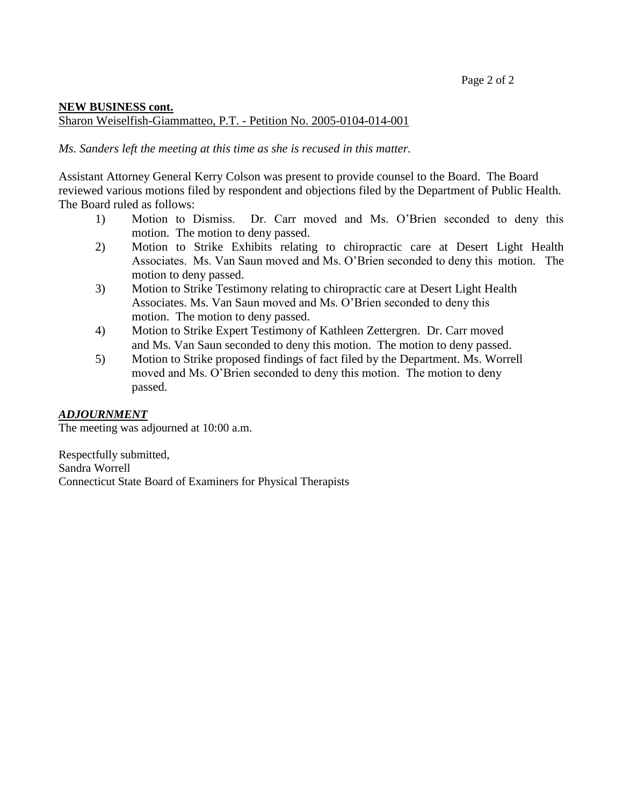# **NEW BUSINESS cont.** Sharon Weiselfish-Giammatteo, P.T. - Petition No. 2005-0104-014-001

*Ms. Sanders left the meeting at this time as she is recused in this matter.*

Assistant Attorney General Kerry Colson was present to provide counsel to the Board. The Board reviewed various motions filed by respondent and objections filed by the Department of Public Health. The Board ruled as follows:

- 1) Motion to Dismiss. Dr. Carr moved and Ms. O'Brien seconded to deny this motion. The motion to deny passed.
- 2) Motion to Strike Exhibits relating to chiropractic care at Desert Light Health Associates. Ms. Van Saun moved and Ms. O'Brien seconded to deny this motion. The motion to deny passed.
- 3) Motion to Strike Testimony relating to chiropractic care at Desert Light Health Associates. Ms. Van Saun moved and Ms. O'Brien seconded to deny this motion. The motion to deny passed.
- 4) Motion to Strike Expert Testimony of Kathleen Zettergren. Dr. Carr moved and Ms. Van Saun seconded to deny this motion. The motion to deny passed.
- 5) Motion to Strike proposed findings of fact filed by the Department. Ms. Worrell moved and Ms. O'Brien seconded to deny this motion. The motion to deny passed.

# *ADJOURNMENT*

The meeting was adjourned at 10:00 a.m.

Respectfully submitted, Sandra Worrell Connecticut State Board of Examiners for Physical Therapists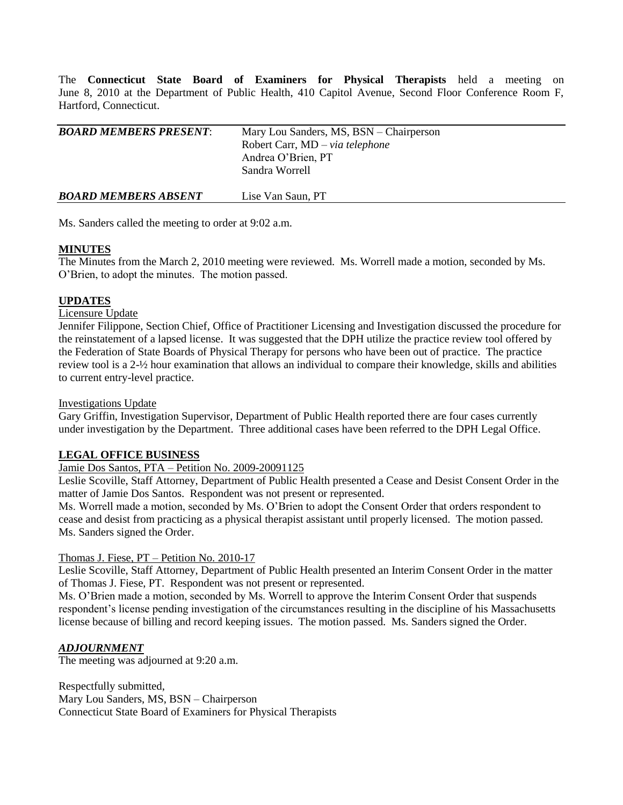The **Connecticut State Board of Examiners for Physical Therapists** held a meeting on June 8, 2010 at the Department of Public Health, 410 Capitol Avenue, Second Floor Conference Room F, Hartford, Connecticut.

| <b>BOARD MEMBERS PRESENT:</b> | Mary Lou Sanders, MS, BSN – Chairperson<br>Robert Carr, MD – via telephone<br>Andrea O'Brien, PT<br>Sandra Worrell |  |
|-------------------------------|--------------------------------------------------------------------------------------------------------------------|--|
| <b>BOARD MEMBERS ABSENT</b>   | Lise Van Saun, PT                                                                                                  |  |

Ms. Sanders called the meeting to order at 9:02 a.m.

## **MINUTES**

The Minutes from the March 2, 2010 meeting were reviewed. Ms. Worrell made a motion, seconded by Ms. O'Brien, to adopt the minutes. The motion passed.

## **UPDATES**

Licensure Update

Jennifer Filippone, Section Chief, Office of Practitioner Licensing and Investigation discussed the procedure for the reinstatement of a lapsed license. It was suggested that the DPH utilize the practice review tool offered by the Federation of State Boards of Physical Therapy for persons who have been out of practice. The practice review tool is a 2-½ hour examination that allows an individual to compare their knowledge, skills and abilities to current entry-level practice.

## Investigations Update

Gary Griffin, Investigation Supervisor, Department of Public Health reported there are four cases currently under investigation by the Department. Three additional cases have been referred to the DPH Legal Office.

## **LEGAL OFFICE BUSINESS**

Jamie Dos Santos, PTA – Petition No. 2009-20091125

Leslie Scoville, Staff Attorney, Department of Public Health presented a Cease and Desist Consent Order in the matter of Jamie Dos Santos. Respondent was not present or represented.

Ms. Worrell made a motion, seconded by Ms. O'Brien to adopt the Consent Order that orders respondent to cease and desist from practicing as a physical therapist assistant until properly licensed. The motion passed. Ms. Sanders signed the Order.

## Thomas J. Fiese, PT – Petition No. 2010-17

Leslie Scoville, Staff Attorney, Department of Public Health presented an Interim Consent Order in the matter of Thomas J. Fiese, PT. Respondent was not present or represented.

Ms. O'Brien made a motion, seconded by Ms. Worrell to approve the Interim Consent Order that suspends respondent's license pending investigation of the circumstances resulting in the discipline of his Massachusetts license because of billing and record keeping issues. The motion passed. Ms. Sanders signed the Order.

## *ADJOURNMENT*

The meeting was adjourned at 9:20 a.m.

Respectfully submitted, Mary Lou Sanders, MS, BSN – Chairperson Connecticut State Board of Examiners for Physical Therapists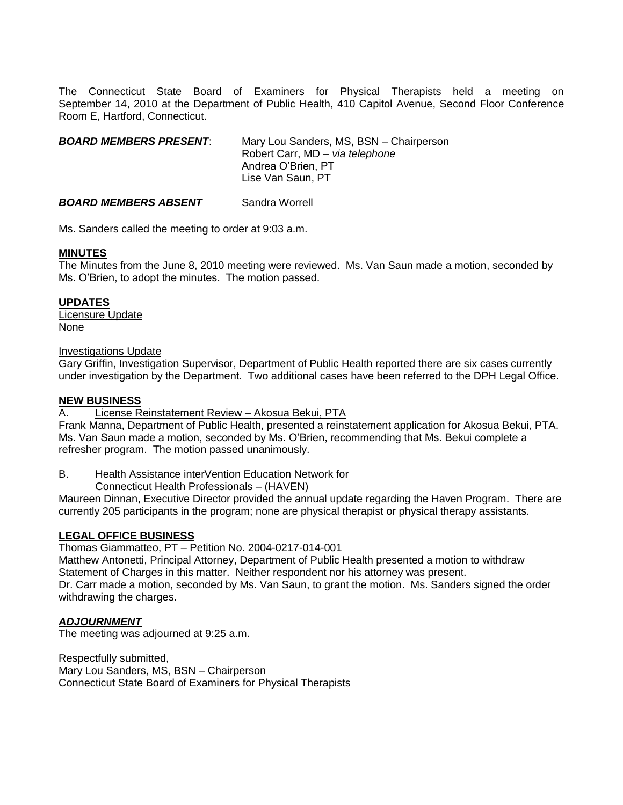The Connecticut State Board of Examiners for Physical Therapists held a meeting on September 14, 2010 at the Department of Public Health, 410 Capitol Avenue, Second Floor Conference Room E, Hartford, Connecticut.

| <b>BOARD MEMBERS PRESENT:</b> | Mary Lou Sanders, MS, BSN - Chairperson<br>Robert Carr, MD - via telephone<br>Andrea O'Brien, PT<br>Lise Van Saun, PT |
|-------------------------------|-----------------------------------------------------------------------------------------------------------------------|
| <b>BOARD MEMBERS ABSENT</b>   | Sandra Worrell                                                                                                        |

Ms. Sanders called the meeting to order at 9:03 a.m.

#### **MINUTES**

The Minutes from the June 8, 2010 meeting were reviewed. Ms. Van Saun made a motion, seconded by Ms. O'Brien, to adopt the minutes. The motion passed.

#### **UPDATES**

Licensure Update None

#### Investigations Update

Gary Griffin, Investigation Supervisor, Department of Public Health reported there are six cases currently under investigation by the Department. Two additional cases have been referred to the DPH Legal Office.

#### **NEW BUSINESS**

#### A. License Reinstatement Review – Akosua Bekui, PTA

Frank Manna, Department of Public Health, presented a reinstatement application for Akosua Bekui, PTA. Ms. Van Saun made a motion, seconded by Ms. O'Brien, recommending that Ms. Bekui complete a refresher program. The motion passed unanimously.

B. Health Assistance interVention Education Network for

Connecticut Health Professionals – (HAVEN)

Maureen Dinnan, Executive Director provided the annual update regarding the Haven Program. There are currently 205 participants in the program; none are physical therapist or physical therapy assistants.

## **LEGAL OFFICE BUSINESS**

Thomas Giammatteo, PT – Petition No. 2004-0217-014-001

Matthew Antonetti, Principal Attorney, Department of Public Health presented a motion to withdraw Statement of Charges in this matter. Neither respondent nor his attorney was present. Dr. Carr made a motion, seconded by Ms. Van Saun, to grant the motion. Ms. Sanders signed the order withdrawing the charges.

## *ADJOURNMENT*

The meeting was adjourned at 9:25 a.m.

Respectfully submitted, Mary Lou Sanders, MS, BSN – Chairperson Connecticut State Board of Examiners for Physical Therapists